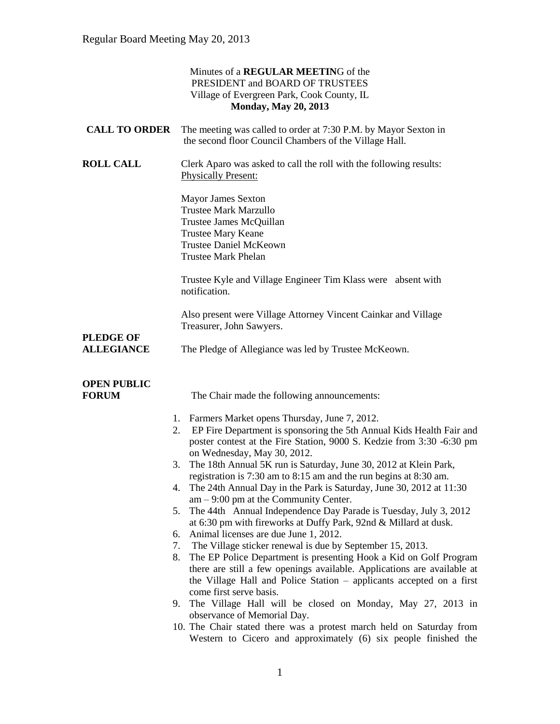|                                       | Minutes of a REGULAR MEETING of the<br>PRESIDENT and BOARD OF TRUSTEES<br>Village of Evergreen Park, Cook County, IL<br><b>Monday, May 20, 2013</b>                                                                                                                                                                      |
|---------------------------------------|--------------------------------------------------------------------------------------------------------------------------------------------------------------------------------------------------------------------------------------------------------------------------------------------------------------------------|
| <b>CALL TO ORDER</b>                  | The meeting was called to order at 7:30 P.M. by Mayor Sexton in<br>the second floor Council Chambers of the Village Hall.                                                                                                                                                                                                |
| <b>ROLL CALL</b>                      | Clerk Aparo was asked to call the roll with the following results:<br><b>Physically Present:</b>                                                                                                                                                                                                                         |
|                                       | <b>Mayor James Sexton</b><br><b>Trustee Mark Marzullo</b><br>Trustee James McQuillan<br><b>Trustee Mary Keane</b><br><b>Trustee Daniel McKeown</b><br><b>Trustee Mark Phelan</b>                                                                                                                                         |
|                                       | Trustee Kyle and Village Engineer Tim Klass were absent with<br>notification.                                                                                                                                                                                                                                            |
|                                       | Also present were Village Attorney Vincent Cainkar and Village<br>Treasurer, John Sawyers.                                                                                                                                                                                                                               |
| <b>PLEDGE OF</b><br><b>ALLEGIANCE</b> | The Pledge of Allegiance was led by Trustee McKeown.                                                                                                                                                                                                                                                                     |
| <b>OPEN PUBLIC</b><br><b>FORUM</b>    | The Chair made the following announcements:                                                                                                                                                                                                                                                                              |
|                                       | 1. Farmers Market opens Thursday, June 7, 2012.<br>EP Fire Department is sponsoring the 5th Annual Kids Health Fair and<br>2.<br>poster contest at the Fire Station, 9000 S. Kedzie from 3:30 -6:30 pm<br>on Wednesday, May 30, 2012.                                                                                    |
|                                       | The 18th Annual 5K run is Saturday, June 30, 2012 at Klein Park,<br>3.<br>registration is 7:30 am to 8:15 am and the run begins at 8:30 am.<br>The 24th Annual Day in the Park is Saturday, June 30, 2012 at 11:30<br>4.<br>$am - 9:00$ pm at the Community Center.                                                      |
|                                       | The 44th Annual Independence Day Parade is Tuesday, July 3, 2012<br>5.<br>at 6:30 pm with fireworks at Duffy Park, 92nd & Millard at dusk.<br>Animal licenses are due June 1, 2012.<br>6.                                                                                                                                |
|                                       | The Village sticker renewal is due by September 15, 2013.<br>7.<br>The EP Police Department is presenting Hook a Kid on Golf Program<br>8.<br>there are still a few openings available. Applications are available at<br>the Village Hall and Police Station – applicants accepted on a first<br>come first serve basis. |
|                                       | The Village Hall will be closed on Monday, May 27, 2013 in<br>9.<br>observance of Memorial Day.<br>10. The Chair stated there was a protest march held on Saturday from<br>Western to Cicero and approximately (6) six people finished the                                                                               |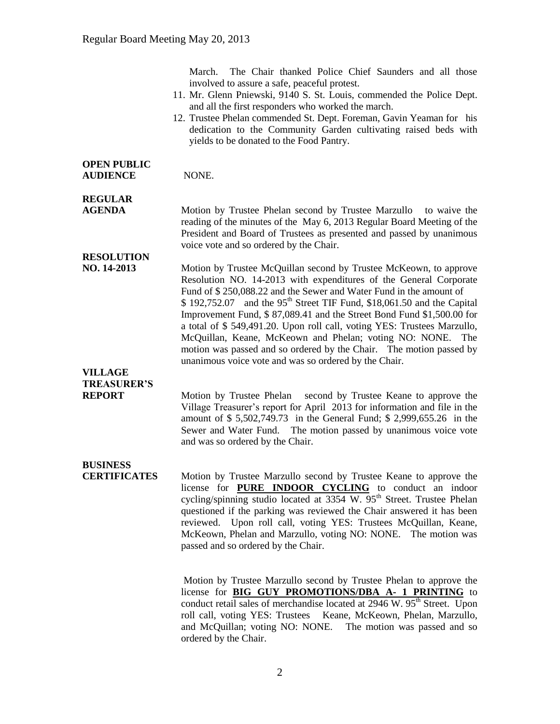March. The Chair thanked Police Chief Saunders and all those involved to assure a safe, peaceful protest.

- 11. Mr. Glenn Pniewski, 9140 S. St. Louis, commended the Police Dept. and all the first responders who worked the march.
- 12. Trustee Phelan commended St. Dept. Foreman, Gavin Yeaman for his dedication to the Community Garden cultivating raised beds with yields to be donated to the Food Pantry.

#### **OPEN PUBLIC AUDIENCE** NONE.

## **REGULAR**

**AGENDA Motion by Trustee Phelan second by Trustee Marzullo** to waive the reading of the minutes of the May 6, 2013 Regular Board Meeting of the President and Board of Trustees as presented and passed by unanimous voice vote and so ordered by the Chair.

### **RESOLUTION**

**NO. 14-2013** Motion by Trustee McQuillan second by Trustee McKeown, to approve Resolution NO. 14-2013 with expenditures of the General Corporate Fund of \$ 250,088.22 and the Sewer and Water Fund in the amount of  $$ 192,752.07$  and the 95<sup>th</sup> Street TIF Fund, \$18,061.50 and the Capital Improvement Fund, \$ 87,089.41 and the Street Bond Fund \$1,500.00 for a total of \$ 549,491.20. Upon roll call, voting YES: Trustees Marzullo, McQuillan, Keane, McKeown and Phelan; voting NO: NONE. The motion was passed and so ordered by the Chair. The motion passed by unanimous voice vote and was so ordered by the Chair.

#### **VILLAGE TREASURER'S**

**REPORT** Motion by Trustee Phelan second by Trustee Keane to approve the Village Treasurer's report for April 2013 for information and file in the amount of \$ 5,502,749.73 in the General Fund; \$ 2,999,655.26 in the Sewer and Water Fund. The motion passed by unanimous voice vote and was so ordered by the Chair.

## **BUSINESS**

**CERTIFICATES** Motion by Trustee Marzullo second by Trustee Keane to approve the license for **PURE INDOOR CYCLING** to conduct an indoor cycling/spinning studio located at  $3354 \text{ W}$ .  $95^{\text{th}}$  Street. Trustee Phelan questioned if the parking was reviewed the Chair answered it has been reviewed. Upon roll call, voting YES: Trustees McQuillan, Keane, McKeown, Phelan and Marzullo, voting NO: NONE. The motion was passed and so ordered by the Chair.

> Motion by Trustee Marzullo second by Trustee Phelan to approve the license for **BIG GUY PROMOTIONS/DBA A- 1 PRINTING** to conduct retail sales of merchandise located at  $2946 \text{ W}$ .  $95^{\text{th}}$  Street. Upon roll call, voting YES: Trustees Keane, McKeown, Phelan, Marzullo, and McQuillan; voting NO: NONE. The motion was passed and so ordered by the Chair.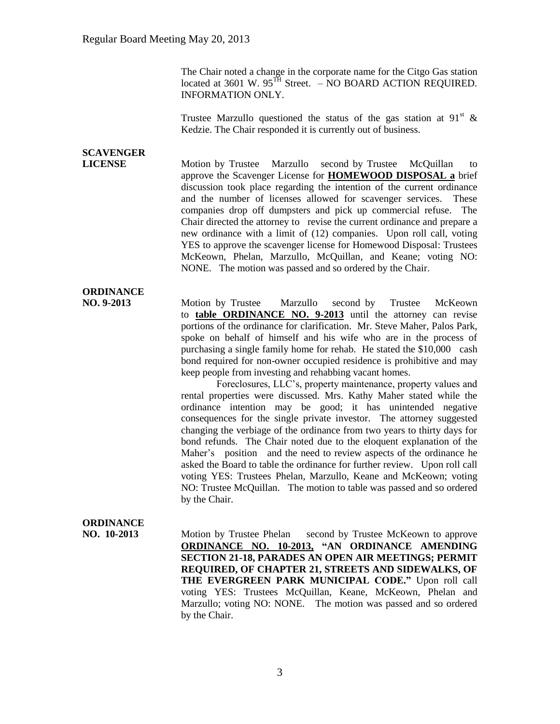The Chair noted a change in the corporate name for the Citgo Gas station located at 3601 W. 95<sup>TH</sup> Street. – NO BOARD ACTION REQUIRED. INFORMATION ONLY.

Trustee Marzullo questioned the status of the gas station at 91<sup>st</sup> & Kedzie. The Chair responded it is currently out of business.

## **SCAVENGER**

**LICENSE** Motion by Trustee Marzullo second by Trustee McQuillan to approve the Scavenger License for **HOMEWOOD DISPOSAL a** brief discussion took place regarding the intention of the current ordinance and the number of licenses allowed for scavenger services. These companies drop off dumpsters and pick up commercial refuse. The Chair directed the attorney to revise the current ordinance and prepare a new ordinance with a limit of (12) companies. Upon roll call, voting YES to approve the scavenger license for Homewood Disposal: Trustees McKeown, Phelan, Marzullo, McQuillan, and Keane; voting NO: NONE. The motion was passed and so ordered by the Chair.

#### **ORDINANCE**

**NO. 9-2013** Motion by Trustee Marzullo second by Trustee McKeown to **table ORDINANCE NO. 9-2013** until the attorney can revise portions of the ordinance for clarification. Mr. Steve Maher, Palos Park, spoke on behalf of himself and his wife who are in the process of purchasing a single family home for rehab. He stated the \$10,000 cash bond required for non-owner occupied residence is prohibitive and may keep people from investing and rehabbing vacant homes.

> Foreclosures, LLC's, property maintenance, property values and rental properties were discussed. Mrs. Kathy Maher stated while the ordinance intention may be good; it has unintended negative consequences for the single private investor. The attorney suggested changing the verbiage of the ordinance from two years to thirty days for bond refunds. The Chair noted due to the eloquent explanation of the Maher's position and the need to review aspects of the ordinance he asked the Board to table the ordinance for further review. Upon roll call voting YES: Trustees Phelan, Marzullo, Keane and McKeown; voting NO: Trustee McQuillan. The motion to table was passed and so ordered by the Chair.

#### **ORDINANCE**

**NO. 10-2013** Motion by Trustee Phelan second by Trustee McKeown to approve **ORDINANCE NO. 10-2013, "AN ORDINANCE AMENDING SECTION 21-18, PARADES AN OPEN AIR MEETINGS; PERMIT REQUIRED, OF CHAPTER 21, STREETS AND SIDEWALKS, OF THE EVERGREEN PARK MUNICIPAL CODE."** Upon roll call voting YES: Trustees McQuillan, Keane, McKeown, Phelan and Marzullo; voting NO: NONE. The motion was passed and so ordered by the Chair.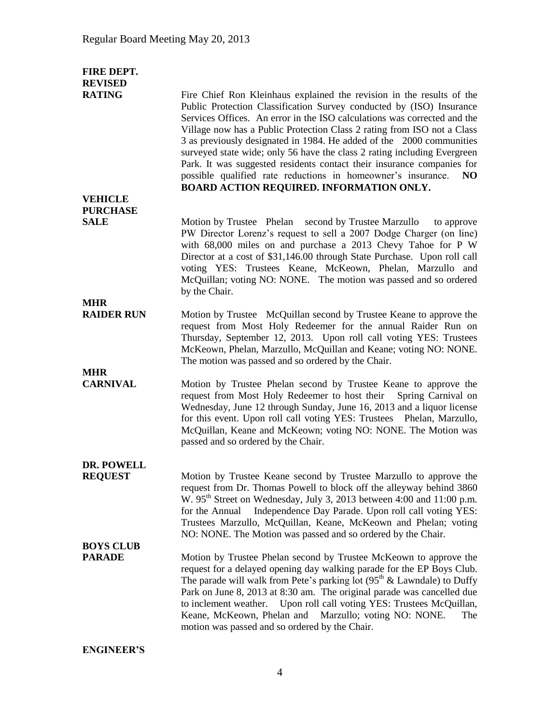| FIRE DEPT.<br><b>REVISED</b>   |                                                                                                                                                                                                                                                                                                                                                                                                                                                                                                                                                                                                                                                       |
|--------------------------------|-------------------------------------------------------------------------------------------------------------------------------------------------------------------------------------------------------------------------------------------------------------------------------------------------------------------------------------------------------------------------------------------------------------------------------------------------------------------------------------------------------------------------------------------------------------------------------------------------------------------------------------------------------|
| <b>RATING</b>                  | Fire Chief Ron Kleinhaus explained the revision in the results of the<br>Public Protection Classification Survey conducted by (ISO) Insurance<br>Services Offices. An error in the ISO calculations was corrected and the<br>Village now has a Public Protection Class 2 rating from ISO not a Class<br>3 as previously designated in 1984. He added of the 2000 communities<br>surveyed state wide; only 56 have the class 2 rating including Evergreen<br>Park. It was suggested residents contact their insurance companies for<br>possible qualified rate reductions in homeowner's insurance.<br>NO.<br>BOARD ACTION REQUIRED. INFORMATION ONLY. |
| <b>VEHICLE</b>                 |                                                                                                                                                                                                                                                                                                                                                                                                                                                                                                                                                                                                                                                       |
| <b>PURCHASE</b><br><b>SALE</b> |                                                                                                                                                                                                                                                                                                                                                                                                                                                                                                                                                                                                                                                       |
| <b>MHR</b>                     | Motion by Trustee Phelan second by Trustee Marzullo<br>to approve<br>PW Director Lorenz's request to sell a 2007 Dodge Charger (on line)<br>with 68,000 miles on and purchase a 2013 Chevy Tahoe for P W<br>Director at a cost of \$31,146.00 through State Purchase. Upon roll call<br>voting YES: Trustees Keane, McKeown, Phelan, Marzullo and<br>McQuillan; voting NO: NONE. The motion was passed and so ordered<br>by the Chair.                                                                                                                                                                                                                |
| <b>RAIDER RUN</b>              | Motion by Trustee McQuillan second by Trustee Keane to approve the                                                                                                                                                                                                                                                                                                                                                                                                                                                                                                                                                                                    |
|                                | request from Most Holy Redeemer for the annual Raider Run on<br>Thursday, September 12, 2013. Upon roll call voting YES: Trustees<br>McKeown, Phelan, Marzullo, McQuillan and Keane; voting NO: NONE.<br>The motion was passed and so ordered by the Chair.                                                                                                                                                                                                                                                                                                                                                                                           |
| <b>MHR</b><br><b>CARNIVAL</b>  |                                                                                                                                                                                                                                                                                                                                                                                                                                                                                                                                                                                                                                                       |
|                                | Motion by Trustee Phelan second by Trustee Keane to approve the<br>request from Most Holy Redeemer to host their<br>Spring Carnival on<br>Wednesday, June 12 through Sunday, June 16, 2013 and a liquor license<br>for this event. Upon roll call voting YES: Trustees Phelan, Marzullo,<br>McQuillan, Keane and McKeown; voting NO: NONE. The Motion was<br>passed and so ordered by the Chair.                                                                                                                                                                                                                                                      |
| DR. POWELL                     |                                                                                                                                                                                                                                                                                                                                                                                                                                                                                                                                                                                                                                                       |
| <b>REQUEST</b>                 | Motion by Trustee Keane second by Trustee Marzullo to approve the<br>request from Dr. Thomas Powell to block off the alleyway behind 3860<br>W. 95 <sup>th</sup> Street on Wednesday, July 3, 2013 between 4:00 and 11:00 p.m.<br>Independence Day Parade. Upon roll call voting YES:<br>for the Annual<br>Trustees Marzullo, McQuillan, Keane, McKeown and Phelan; voting<br>NO: NONE. The Motion was passed and so ordered by the Chair.                                                                                                                                                                                                            |
| <b>BOYS CLUB</b>               |                                                                                                                                                                                                                                                                                                                                                                                                                                                                                                                                                                                                                                                       |
| <b>PARADE</b>                  | Motion by Trustee Phelan second by Trustee McKeown to approve the<br>request for a delayed opening day walking parade for the EP Boys Club.<br>The parade will walk from Pete's parking lot $(95th \&$ Lawndale) to Duffy<br>Park on June 8, 2013 at 8:30 am. The original parade was cancelled due<br>to inclement weather. Upon roll call voting YES: Trustees McQuillan,<br>Keane, McKeown, Phelan and Marzullo; voting NO: NONE.<br>The<br>motion was passed and so ordered by the Chair.                                                                                                                                                         |

**ENGINEER'S**